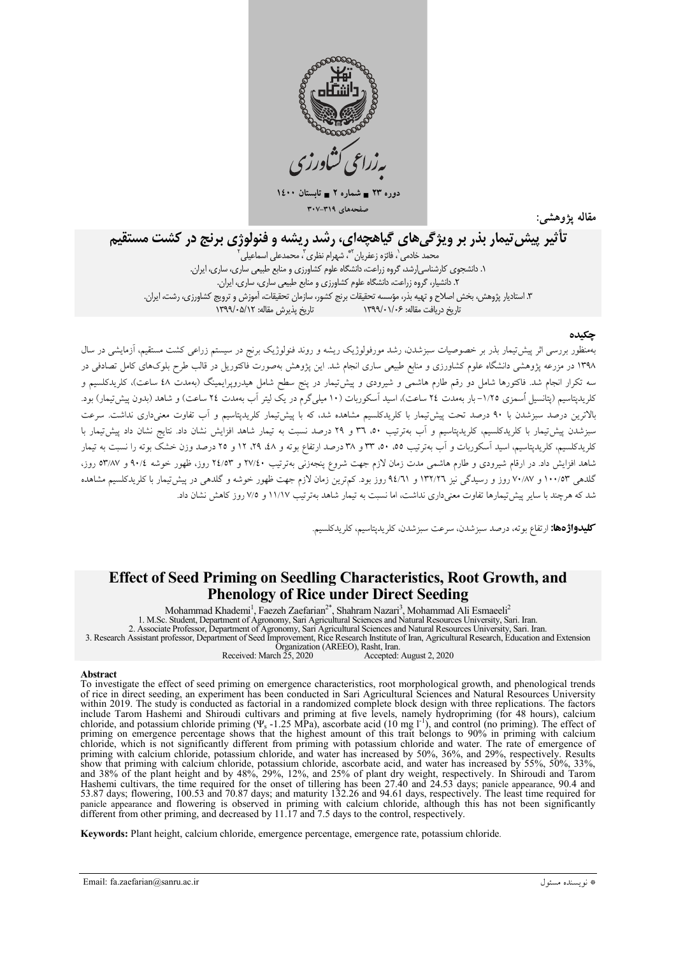

 $15 \leftrightarrow 74$ دوره ۲۳ = شماره ۲ = تابہ صفحههای ۳۰۷-۳۰۷

مقاله يژوهشم

# تأثیر پیش تیمار بذر بر ویژگیهای گیاهچهای، رشد ریشه و فنولوژی برنج در کشت مستقیم

٣. استاديار پژوهش، بخش اصلاح و تهيه بذر، مؤسسه تحقيقات برنج كشور، سازمان تحقيقات، آموزش و ترويج كشاورزى، رشت، ايران. تاريخ دريافت مقاله: ۱۳۹۹/۰۱/۰۶ (۱۳۹۹/۰۰ تاريخ بذيرش مقاله: ۱۳۹۹/۰۵/۱۲

### حكىدە

بهمنظور بررسی اثر پیش تیمار بذر بر خصوصیات سبزشدن، رشد مورفولوژیک ریشه و روند فنولوژیک برنج در سیستم زراعی کشت مستقیم، آزمایشی در سال ۱۳۹۸ در مزرعه پژوهشی دانشگاه علوم کشاورزی و منابع طبیعی ساری انجام شد. این پژوهش بهصورت فاکتوریل در قالب طرح بلوکهای کامل تصادفی در سه تکرار انجام شد. فاکتورها شامل دو رقم طارم هاشمی و شیرودی و پیش تیمار در پنج سطح شامل هیدروپرایمینگ (بهمدت ٤٨ ساعت)، کلریدکلسیم و کلریدیتاسیم (پتانسیل اُسمزی ۱/۲۵–بار بهمدت ۲٤ ساعت)، اسید اَسکوربات (۱۰ میلیگرم در یک لیتر اَب بهمدت ۲٤ ساعت) و شاهد (بدون پیش تیمار) بود. بالاترین درصد سبزشدن با ۹۰ درصد تحت پیشتیمار با کلریدکلسیم مشاهده شد، که با پیشتیمار کلریدپتاسیم و آب تفاوت معنیداری نداشت. سرعت سبزشدن پیش تیمار با کلریدکلسیم، کلریدیتاسیم و آب بهتر تیب ۳۰، ۳۱ و ۲۹ درصد نسبت به تیمار شاهد افزایش نشان داد. نتایج نشان داد پیش تیمار با کلویدکلسیم، کلریدیتاسیم، اسید آسکوربات و آب بهترتیب ٥٥، ٥٠، ٣٣ و ٣٨ درصد ارتفاع بوته و ٤٨، ١٩، ١٢ و ٢٥ درصد وزن خشک بوته را نسبت به تیمار شاهد افزایش داد. در ارقام شیرودی و طارم هاشمی مدت زمان لازم جهت شروع پنجهزنی بهترتیب ۲۷/٤۰ و ۲۷/٤٣ روز، ظهور خوشه ۹۰/٤ و ۵۳/۸۷ روز، گلدهی ۱۰۰/۵۳ و ۷۰/۸۷ روز و رسیدگی نیز ۱۳۲/۲۲ و ۹٤/٦۱ روز بود. کمترین زمان لازم جهت ظهور خوشه و گلدهی در پیش تیمار با کلریدکلسیم مشاهده شد که هرچند با سایر پیش تیمارها تفاوت معنی داری نداشت، اما نسبت به تیمار شاهد بهتر تیب ۱۱/۱۷ و ۷/۵ روز کاهش نشان داد.

كليدواژدها: ارتفاع بوته، درصد سبزشدن، سرعت سبزشدن، كلريديتاسيم، كلريدكلسيم.

# **Effect of Seed Priming on Seedling Characteristics, Root Growth, and Phenology of Rice under Direct Seeding**

Mohammad Khademi<sup>1</sup>, Faezeh Zaefarian<sup>2\*</sup>, Shahram Nazari<sup>3</sup>, Mohammad Ali Esmaeeli<sup>2</sup> 1. M.Sc. Student, Department of Agronomy, Sari Agricultural Sciences and Natural Resources University, Sari. Iran.<br>2. Associate Professor, Department of Agronomy, Sari Agricultural Sciences and Natural Resources University Organization (AREEO), Rasht, Iran.

Received: March  $\tilde{25}$ , 2020 Accepted: August 2, 2020

#### Abstract

To investigate the effect of seed priming on emergence characteristics, root morphological growth, and phenological trends of rice in direct seeding, an experiment has been conducted in Sari Agricultural Sciences and Natural Resources University within 2019. The study is conducted as factorial in a randomized complete block design with three replications. The factors whilm 2019. The study is conducted as factorial in a randomized complete ofock design with three representions. The ractors<br>include Tarom Hashemi and Shiroudi cultivars and priming at five levels, namely hydropriming (for expectively. Nearly unit is not significantly uniterest from priming with calcium chorde, potassium chorde, and water has increased by 50%, 36%, and 29%, respectively. Results show that priming with calcium chloride, potas but a control and flowering, 100.50 and 70.67 days, and maturity 152.20 and 54.01 days, respectively. The least time required for panicle appearance and flowering is observed in priming with calcium chloride, although this

Keywords: Plant height, calcium chloride, emergence percentage, emergence rate, potassium chloride.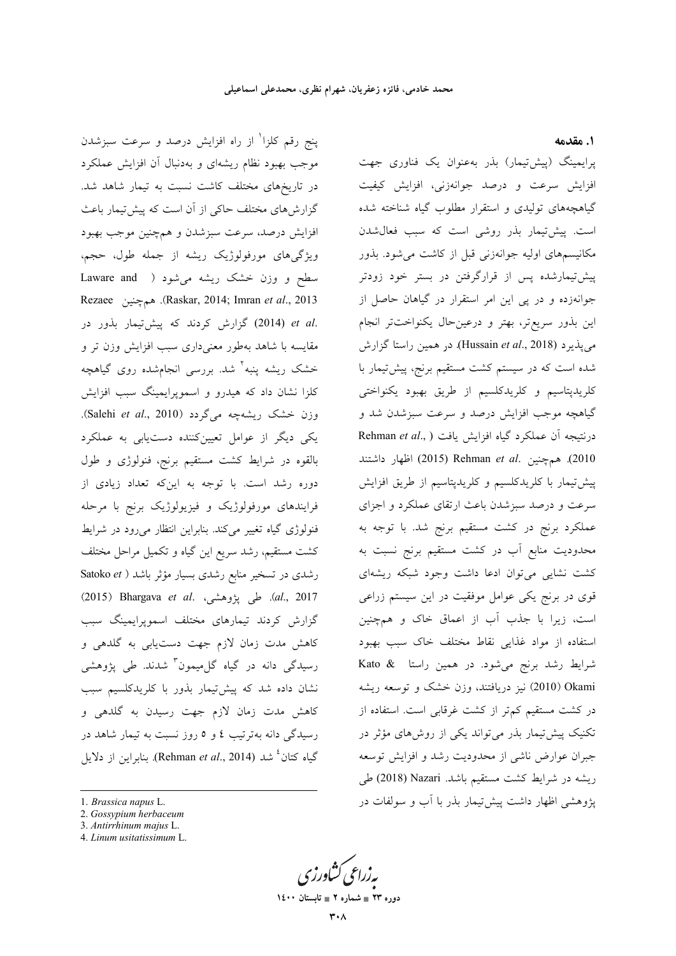پنج رقم کلزا<sup>\</sup> از راه افزایش درصد و سرعت سبزشدن موجب بهبود نظام ریشهای و بهدنبال آن افزایش عملکرد در تاریخهای مختلف کاشت نسبت به تیمار شاهد شد. گزارشهای مختلف حاکی از آن است که پیش تیمار باعث افزايش درصد، سرعت سبزشدن و همچنين موجب بهبود ویژگیهای مورفولوژیک ریشه از جمله طول، حجم، سطح و وزن خشک ریشه میشود ( Laware and Rezaee (Raskar, 2014; Imran et al., 2013). هم چنین .et al (2014) گزارش كردند كه پيشتيمار بذور در مقایسه با شاهد بهطور معنیداری سبب افزایش وزن تر و خشک ریشه ینبه<sup>۲</sup> شد. بررسی انجامشده روی گیاهچه کلزا نشان داد که هیدرو و اسمویرایمینگ سبب افزایش وزن خشک ریشهچه میگردد (Salehi et al., 2010). یکی دیگر از عوامل تعیینکننده دستیابی به عملکرد بالقوه در شرایط کشت مستقیم برنج، فنولوژی و طول دوره رشد است. با توجه به اینکه تعداد زیادی از فرایندهای مورفولوژیک و فیزیولوژیک برنج با مرحله فنولوژی گیاه تغییر میکند. بنابراین انتظار میرود در شرایط کشت مستقیم، رشد سریع این گیاه و تکمیل مراحل مختلف رشدی در تسخیر منابع رشدی بسیار مؤثر باشد ( Satoko et 2017). طی پژوهشی، Bhargava et al. بیشتی (2015) گزارش کردند تیمارهای مختلف اسمویرایمینگ سبب کاهش مدت زمان لازم جهت دستیابی به گلدهی و رسیدگی دانه در گیاه گل.میمون<sup>۳</sup> شدند. طی پژوهشی نشان داده شد که پیشتیمار بذور با کلریدکلسیم سبب کاهش مدت زمان لازم جهت رسیدن به گلدهی و رسیدگی دانه بهترتیب ٤ و ٥ روز نسبت به تیمار شاهد در گیاه کتان<sup>، ن</sup>شد (Rehman *et al.*, 2014). بنابراین از دلایل ١. مقدمه

پرایمینگ (پیش تیمار) بذر بهعنوان یک فناوری جهت افزایش سرعت و درصد جوانهزنی، افزایش کیفیت گیاهچههای تولیدی و استقرار مطلوب گیاه شناخته شده است. پیش تیمار بذر روشی است که سبب فعال شدن مکانیسمهای اولیه جوانهزنی قبل از کاشت می شود. بذور پیش تیمارشده پس از قرارگرفتن در بستر خود زودتر جوانهزده و در پی این امر استقرار در گیاهان حاصل از این بذور سریعتر، بهتر و درعینحال یکنواختتر انجام می پذیرد (Hussain et al., 2018). در همین راستا گزارش شده است که در سیستم کشت مستقیم برنج، پیشتیمار با كلريدپتاسيم و كلريدكلسيم از طريق بهبود يكنواختى گیاهچه موجب افزایش درصد و سرعت سبزشدن شد و Rehman et al., ) درنتیجه آن عملکرد گیاه افزایش یافت 2010). همچنین .Rehman et al (2015) اظهار داشتند پیش تیمار با کلریدکلسیم و کلریدپتاسیم از طریق افزایش سرعت و درصد سبزشدن باعث ارتقای عملکرد و اجزای عملکرد برنج در کشت مستقیم برنج شد. با توجه به محدودیت منابع آب در کشت مستقیم برنج نسبت به کشت نشایی می توان ادعا داشت وجود شبکه ریشهای قوی در برنج یکی عوامل موفقیت در این سیستم زراعی است، زیرا با جذب آب از اعماق خاک و همچنین استفاده از مواد غذايي نقاط مختلف خاك سبب بهبود شرايط رشد برنج مى شود. در همين راستا & Kato Okami (2010) نیز دریافتند، وزن خشک و توسعه ریشه در کشت مستقیم کم تر از کشت غرقابی است. استفاده از تکنیک پیش تیمار بذر می تواند یکی از روشهای مؤثر در جبران عوارض ناشى از محدوديت رشد و افزايش توسعه ريشه در شرايط كشت مستقيم باشد. Nazari (2018) طي یژوهشی اظهار داشت پیش تیمار بذر با آب و سولفات در

دوره ۲۳ ∎ شماره ۲ ∎ تاب

<sup>1.</sup> Brassica napus L.

<sup>2.</sup> Gossypium herbaceum

<sup>3.</sup> Antirrhinum majus L.

<sup>4.</sup> Linum usitatissimum L.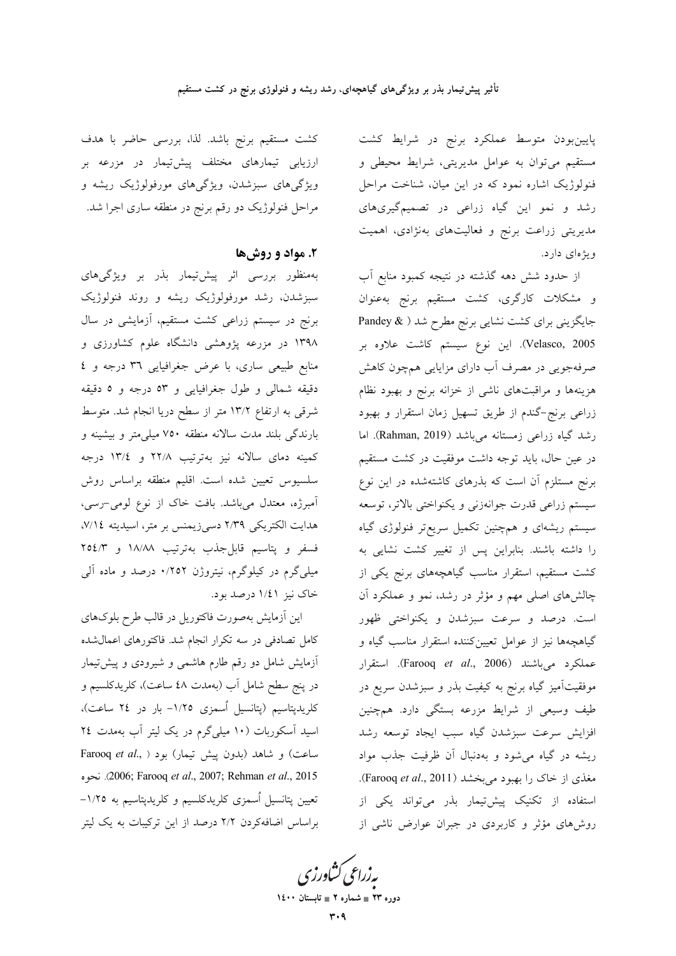پایینبودن متوسط عملکرد برنج در شرایط کشت مستقیم می توان به عوامل مدیریتی، شرایط محیطی و فنولوژیک اشاره نمود که در این میان، شناخت مراحل رشد و نمو این گیاه زراعی در تصمیمگیریهای مدیریتی زراعت برنج و فعالیتهای بهنژادی، اهمیت ویژهای دارد.

از حدود شش دهه گذشته در نتیجه کمبود منابع آب و مشکلات کارگری، کشت مستقیم برنج بهعنوان جایگزینی برای کشت نشایی برنج مطرح شد ( & Pandey Velasco, 2005). این نوع سیستم کاشت علاوه بر صرفهجویی در مصرف آب دارای مزایایی همچون کاهش هزینهها و مراقبتهای ناشی از خزانه برنج و بهبود نظام زراعی برنج-گندم از طریق تسهیل زمان استقرار و بهبود رشد گیاه زراعی زمستانه میباشد (Rahman, 2019). اما در عین حال، باید توجه داشت موفقیت در کشت مستقیم برنج مستلزم آن است که بذرهای کاشتهشده در این نوع سيستم زراعي قدرت جوانهزني و يكنواختي بالاتر، توسعه سیستم ریشهای و همچنین تکمیل سریعتر فنولوژی گیاه را داشته باشند. بنابراین پس از تغییر کشت نشایی به کشت مستقیم، استقرار مناسب گیاهچههای برنج یکی از چالشهای اصلی مهم و مؤثر در رشد، نمو و عملکرد آن است. درصد و سرعت سبزشدن و یکنواختی ظهور گیاهچهها نیز از عوامل تعیینکننده استقرار مناسب گیاه و عملكرد مي باشند (Farooq *et al.*, 2006). استقرار موفقیتآمیز گیاه برنج به کیفیت بذر و سبزشدن سریع در طیف وسیعی از شرایط مزرعه بستگی دارد. همچنین افزايش سرعت سبزشدن گياه سبب ايجاد توسعه رشد ریشه در گیاه می شود و بهدنبال آن ظرفیت جذب مواد مغذی از خاک را بهبود میبخشد (Farooq et al., 2011). استفاده از تکنیک پیشتیمار بذر می تواند یکی از روشهای مؤثر و کاربردی در جبران عوارض ناشی از

کشت مستقیم برنج باشد. لذا، بررسی حاضر با هدف ارزیابی تیمارهای مختلف پیشتیمار در مزرعه بر ویژگیهای سبزشدن، ویژگیهای مورفولوژیک ریشه و مراحل فنولوژیک دو رقم برنج در منطقه ساری اجرا شد.

## ۲. مواد و روشها

بهمنظور بررسی اثر پیشتیمار بذر بر ویژگیهای سبزشدن، رشد مورفولوژیک ریشه و روند فنولوژیک برنج در سیستم زراعی کشت مستقیم، آزمایشی در سال ۱۳۹۸ در مزرعه پژوهشی دانشگاه علوم کشاورزی و منابع طبیعی ساری، با عرض جغرافیایی ۳٦ درجه و ٤ دقیقه شمالی و طول جغرافیایی و ٥٣ درجه و ٥ دقیقه شرقی به ارتفاع ۱۳/۲ متر از سطح دریا انجام شد. متوسط بارندگی بلند مدت سالانه منطقه ۷۵۰ میلی متر و بیشینه و کمینه دمای سالانه نیز بهترتیب ۲۲/۸ و ۱۳/٤ درجه سلسیوس تعیین شده است. اقلیم منطقه براساس روش آمبرژه، معتدل میباشد. بافت خاک از نوع لومی-رسی، هدایت الکتریکی ۲/۳۹ دسیزیمنس بر متر، اسیدیته ۷/۱٤، فسفر و پتاسیم قابلجذب بهترتیب ۱۸/۸۸ و ۲٥٤/۳ میلیگرم در کیلوگرم، نیتروژن ۰٬۲۵۲ درصد و ماده آل<sub>ی</sub> خاک نیز ۱/٤۱ درصد بود.

این آزمایش بهصورت فاکتوریل در قالب طرح بلوکهای کامل تصادفی در سه تکرار انجام شد. فاکتورهای اعمال شده آزمایش شامل دو رقم طارم هاشمی و شیرودی و پیش تیمار در پنج سطح شامل آب (بهمدت ٤٨ ساعت)، کلریدکلسیم و کلریدپتاسیم (پتانسیل اُسمزی ۱/۲۵– بار در ۲٤ ساعت)، اسید آسکوربات (۱۰ میلیگرم در یک لیتر آب بهمدت ۲٤ Farooq et al., ) بود (بدون پیش تیمار) بود ( Farooq et al., 2005; Farooq et al., 2007; Rehman et al., 2015). نحوه تعیین پتانسیل اُسمزی کلریدکلسیم و کلریدپتاسیم به ۱/۲۵– براساس اضافهکردن ۲/۲ درصد از این ترکیبات به یک لیتر

ىەزراعى ئشاورزى

دوره ۲۳ = شماره ۲ = تابستان ۱٤۰۰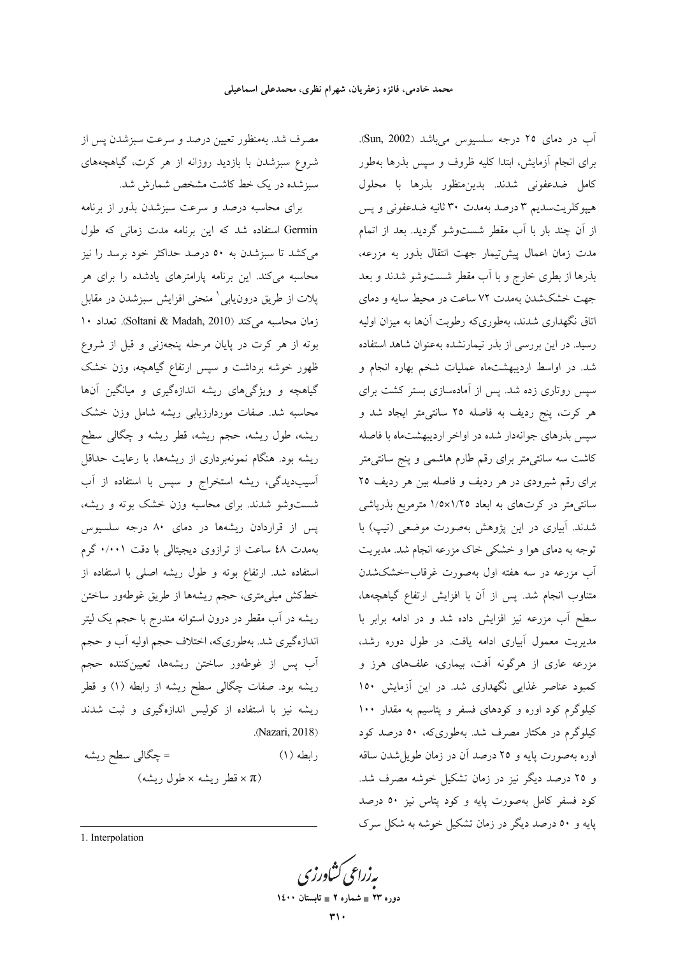مصرف شد. بهمنظور تعیین درصد و سرعت سبزشدن پس از شروع سبزشدن با بازدید روزانه از هر کرت، گیاهچههای سبزشده در یک خط کاشت مشخص شمارش شد.

برای محاسبه درصد و سرعت سبزشدن بذور از برنامه Germin استفاده شد که این برنامه مدت زمانی که طول میکشد تا سبزشدن به ٥٠ درصد حداکثر خود برسد را نیز محاسبه میکند. این برنامه پارامترهای یادشده را برای هر پلات از طریق درون،یابی ٰ منحنی افزایش سبزشدن در مقابل زمان محاسبه می کند (Soltani & Madah, 2010). تعداد ١٠ بوته از هر كرت در پايان مرحله پنجهزنى و قبل از شروع ظهور خوشه برداشت و سپس ارتفاع گیاهچه، وزن خشک گیاهچه و ویژگیهای ریشه اندازهگیری و میانگین آنها محاسبه شد. صفات موردارزیابی ریشه شامل وزن خشک ریشه، طول ریشه، حجم ریشه، قطر ریشه و چگالی سطح ریشه بود. هنگام نمونهبرداری از ریشهها، با رعایت حداقل آسیبدیدگی، ریشه استخراج و سپس با استفاده از آب شستوشو شدند. برای محاسبه وزن خشک بوته و ریشه، پس از قراردادن ریشهها در دمای ۸۰ درجه سلسیوس بهمدت ٤٨ ساعت از ترازوی دیجیتالی با دقت ٠/٠٠١ گرم استفاده شد. ارتفاع بوته و طول ریشه اصلی با استفاده از خطکش میلی،متری، حجم ریشهها از طریق غوطهور ساختن ریشه در آب مقطر در درون استوانه مندرج با حجم یک لیتر اندازهگیری شد. بهطوریکه، اختلاف حجم اولیه آب و حجم آب پس از غوطهور ساختن ریشهها، تعیینکننده حجم ریشه بود. صفات چگالی سطح ریشه از رابطه (۱) و قطر ریشه نیز با استفاده از کولیس اندازهگیری و ثبت شدند (Nazari, 2018).

= چگالی سطح ریشه  $(1)$  وابطه  $(\xi, \xi)$ قطر ریشه $\times \xi$ طول ریشه)

آب در دمای ٢٥ درجه سلسيوس مي باشد (Sun, 2002). برای انجام آزمایش، ابتدا کلیه ظروف و سپس بذرها بهطور كامل ضدعفونى شدند. بدين منظور بذرها با محلول هیپوکلریتسدیم ۳ درصد بهمدت ۳۰ ثانیه ضدعفونی و پس از آن چند بار با آب مقطر شستوشو گردید. بعد از اتمام مدت زمان اعمال پیشتیمار جهت انتقال بذور به مزرعه، بذرها از بطری خارج و با آب مقطر شست وشو شدند و بعد جهت خشکشدن بهمدت ۷۲ ساعت در محیط سایه و دمای اتاق نگهداری شدند، بهطوریکه رطوبت آنها به میزان اولیه رسید. در این بررسی از بذر تیمارنشده بهعنوان شاهد استفاده شد. در اواسط اردیبهشتماه عملیات شخم بهاره انجام و سپس روتاری زده شد. پس از آمادهسازی بستر کشت برای هر کرت، پنج ردیف به فاصله ۲۵ سانتی متر ایجاد شد و سپس بذرهای جوانهدار شده در اواخر اردیبهشتماه با فاصله کاشت سه سانتی متر برای رقم طارم هاشمی و پنج سانتی متر برای رقم شیرودی در هر ردیف و فاصله بین هر ردیف ۲۵ سانتی متر در کرتهای به ابعاد ۱/۵×۱/۲۵ مترمربع بذریاشی شدند. آبیاری در این پژوهش بهصورت موضعی (تیپ) با توجه به دمای هوا و خشکی خاک مزرعه انجام شد. مدیریت آب مزرعه در سه هفته اول بهصورت غرقاب-خشکشدن متناوب انجام شد. پس از آن با افزایش ارتفاع گیاهچهها، سطح آب مزرعه نيز افزايش داده شد و در ادامه برابر با مدیریت معمول آبیاری ادامه یافت. در طول دوره رشد، مزرعه عاری از هرگونه آفت، بیماری، علفهای هرز و کمبود عناصر غذایی نگهداری شد. در این آزمایش ۱۵۰ کیلوگرم کود اوره و کودهای فسفر و پتاسیم به مقدار ۱۰۰ کیلوگرم در هکتار مصرف شد. بهطوریکه، ۵۰ درصد کود اوره بهصورت پایه و ٢٥ درصد آن در زمان طویل شدن ساقه و ۲۵ درصد دیگر نیز در زمان تشکیل خوشه مصرف شد. کود فسفر کامل بهصورت پایه و کود پتاس نیز ٥٠ درصد یایه و ٥٠ درصد دیگر در زمان تشکیل خوشه به شکل سرک

1. Interpolation

بەزراعى كشاورز

دوره ۲۳ = شماره ۲ = تابستان ۱٤۰۰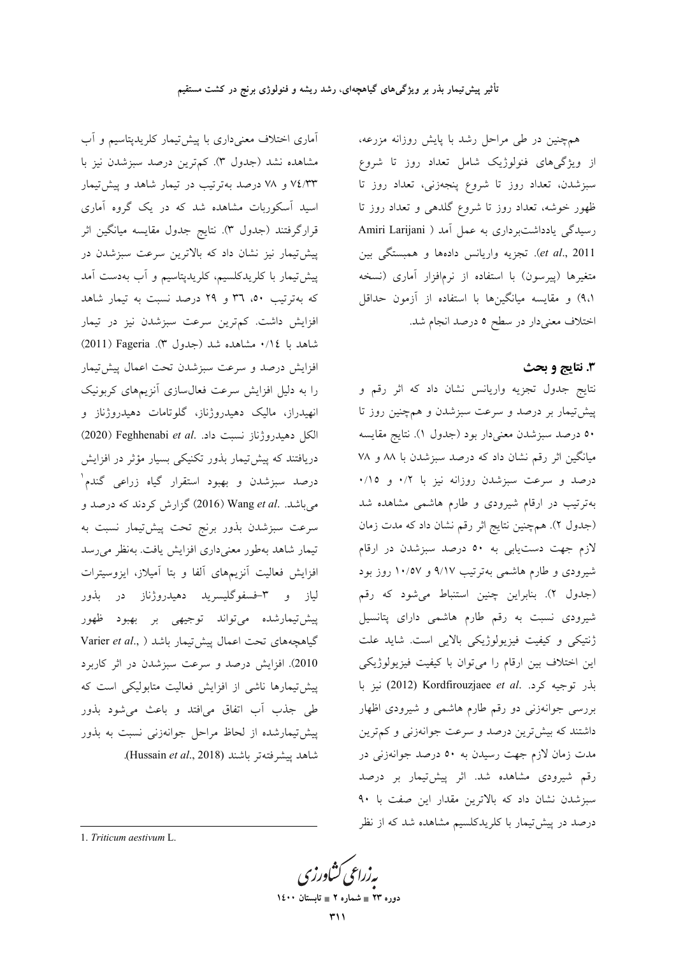همهجنین در طی مراحل رشد با پایش روزانه مزرعه، از ویژگیهای فنولوژیک شامل تعداد روز تا شروع سبزشدن، تعداد روز تا شروع پنجهزنی، تعداد روز تا ظهور خوشه، تعداد روز تا شروع گلدهی و تعداد روز تا رسیدگی یادداشتبر داری به عمل آمد ( Amiri Larijani et al., 2011). تجزیه واریانس دادهها و همبستگی بین متغیرها (پیرسون) با استفاده از نرمافزار آماری (نسخه ۹،۱) و مقایسه میانگینها با استفاده از آزمون حداقل اختلاف معنىدار در سطح ٥ درصد انجام شد.

### 3. نتايج و بحث

نتايج جدول تجزيه واريانس نشان داد كه اثر رقم و پیشتیمار بر درصد و سرعت سبزشدن و همچنین روز تا ٥٠ درصد سبزشدن معنىدار بود (جدول ١). نتايج مقايسه میانگین اثر رقم نشان داد که درصد سبزشدن با ۸۸ و ۷۸ درصد و سرعت سبزشدن روزانه نیز با ۰/۲ و ۰/۱۰ بهترتیب در ارقام شیرودی و طارم هاشمی مشاهده شد (جدول ٢). همچنین نتایج اثر رقم نشان داد که مدت زمان لازم جهت دستیابی به ٥٠ درصد سبزشدن در ارقام شیرودی و طارم هاشمی بهترتیب ۹/۱۷ و ۱۰/۵۷ روز بود (جدول ٢). بنابراين چنين استنباط مي شود كه رقم شیرودی نسبت به رقم طارم هاشمی دارای پتانسیل ژنتیکی و کیفیت فیزیولوژیکی بالایی است. شاید علت این اختلاف بین ارقام را میتوان با کیفیت فیزیولوژیکی بذر توجيه كرد. Kordfirouzjaee et al. نيز با بررسی جوانهزنی دو رقم طارم هاشمی و شیرودی اظهار داشتند که بیشترین درصد و سرعت جوانهزنی و کم ترین مدت زمان لازم جهت رسیدن به ٥٠ درصد جوانهزنی در رقم شیرودی مشاهده شد. اثر پیشتیهار بر درصد سبزشدن نشان داد که بالاترین مقدار این صفت با ۹۰ درصد در پیشتیمار با کلریدکلسیم مشاهده شد که از نظر

افزایش درصد و سرعت سبزشدن تحت اعمال پیشتیمار را به دلیل افزایش سرعت فعال سازی آنزیمهای کربونیک انهیدراز، مالیک دهیدروژناز، گلوتامات دهیدروژناز و الكل دهيدروژناز نسبت داد. .Peghhenabi et al (2020) دریافتند که پیش تیمار بذور تکنیکی بسیار مؤثر در افزایش درصد سبزشدن و بهبود استقرار گیاه زراعی گندم<sup>۱</sup> می باشد. .Wang et al (2016) گزارش کردند که درصد و سرعت سبزشدن بذور برنج تحت پیشتیمار نسبت به تیمار شاهد بهطور معنیداری افزایش یافت. بهنظر میرسد افزایش فعالیت آنزیمهای آلفا و بتا آمیلاز، ایزوسیترات لیاز و ۳-فسفوگلیسرید دهیدروژناز در بذور پیش تیمارشده میتواند توجیهی بر بهبود ظهور Varier et al., ) ليش تيمار باشد ( Varier et al., 2010). افزایش درصد و سرعت سبزشدن در اثر کاربرد پیش تیمارها ناشی از افزایش فعالیت متابولیکی است که طی جذب آب اتفاق میافتد و باعث می شود بذور پیشتیمارشده از لحاظ مراحل جوانهزنی نسبت به بذور شاهد ييشرفتهتر باشند (Hussain et al., 2018).

آماری اختلاف معنیداری با پیش تیمار کلریدپتاسیم و آب

مشاهده نشد (جدول ٣). كمترين درصد سبزشدن نيز با

۷٤/۳۳ و ۷۸ درصد بهترتیب در تیمار شاهد و پیشتیمار

اسید آسکوربات مشاهده شد که در یک گروه آماری

قرارگرفتند (جدول ٣). نتايج جدول مقايسه ميانگين اثر

پیشتیمار نیز نشان داد که بالاترین سرعت سبزشدن در

پیشتیمار با کلریدکلسیم، کلریدپتاسیم و آب بهدست آمد

که بهترتیب ۵۰، ۳٦ و ۲۹ درصد نسبت به تیمار شاهد

افزایش داشت. کمترین سرعت سبزشدن نیز در تیمار

شاهد با ٠/١٤ مشاهده شد (جدول ٣). Pageria) (2011)

1. Triticum aestivum L.

دوره ۲۳ = شماره ۲ = تابستان ۱٤۰۰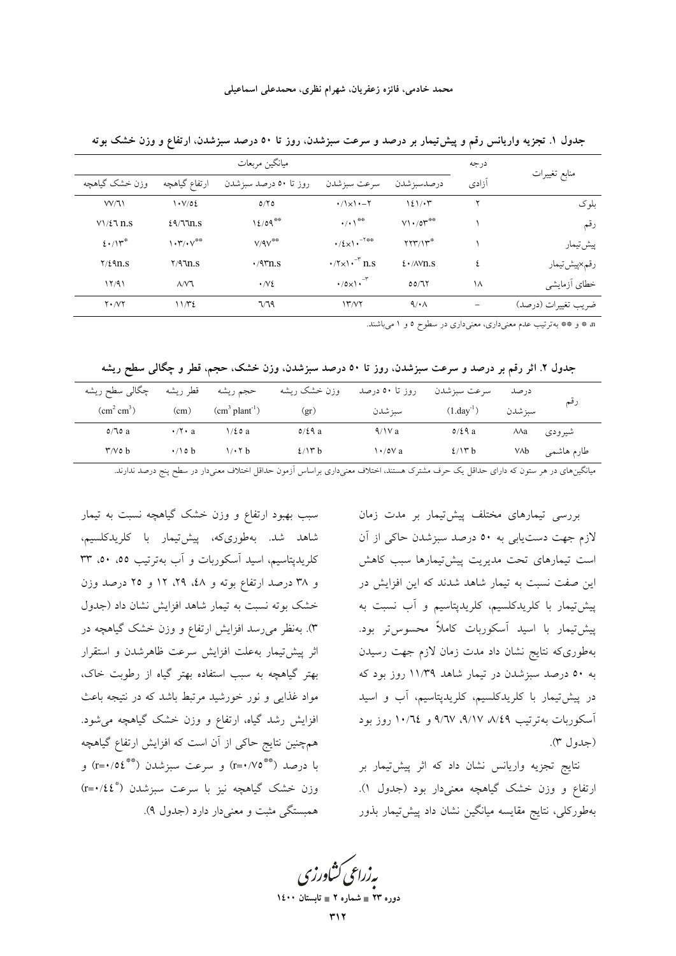|                    |                                                 | ميانگين مربعات        |                                                                        |                                           | درجه  |                     |
|--------------------|-------------------------------------------------|-----------------------|------------------------------------------------------------------------|-------------------------------------------|-------|---------------------|
| وزن خشک گیاهچه     | ارتفاع گیاهچه                                   | روز تا ۵۰ درصد سبزشدن | سرعت سبزشدن                                                            | درصدسبزشدن                                | آزادى | منابع تغييرات       |
| VV/11              | $\cdot \sqrt{02}$                               | 0/Y                   | $\cdot/\lambda \times \lambda - \lambda$                               | $121/\cdot 7$                             |       | ىلو ك               |
| $V\frac{1}{2}$ n.s | 29/33.5                                         | 12/09                 | $\cdot/\cdot$ \**                                                      | $V1.70$ r <sup>**</sup>                   |       | رقم                 |
| $2 \cdot 11^{4}$   | $\mathcal{N}(\cdot \mathcal{V})^{\otimes \Phi}$ | $V/9V^{\otimes \Phi}$ | $\cdot/\xi_{\times}$ \ $\cdot^{-\tau_{\#} \otimes}$                    | $\Upsilon \Upsilon \Upsilon / \Upsilon^*$ |       | پیش تیمار           |
| $Y/\ell$ 9n.s      | $Y/9$ $\ln S$                                   | $\cdot$ /95.1.5       | $\cdot$ / $\sqrt{x}$ $\cdot$ <sup>-<math>\overline{r}</math></sup> n.s | $\frac{1}{2}$ $\sqrt{\text{N}}$ n.s       |       | رقم×پیش تیمار       |
| 17/91              | $\Lambda$ $N$ ٦                                 | $\cdot$ / $\vee$ 2    | $\cdot$ /0x\ $\cdot$ <sup>-r</sup>                                     | 00/77                                     | ۱۸    | خطاى أزمايشي        |
| $Y \cdot \Delta Y$ | 1172                                            | 7/79                  | 15'                                                                    | $\mathcal{A}/\mathcal{A}$                 |       | ضريب تغييرات (درصد) |

جدول ۱. تجزیه واریانس رقم و پیشتیمار بر درصد و سرعت سبزشدن، روز تا ۵۰ درصد سبزشدن، ارتفاع و وزن خشک بوته

n \* و \*\* بهترتیب عدم معنیداری، معنیداری در سطوح ٥ و ١ میباشند.

جدول ۲. اثر رقم بر درصد و سرعت سبزشدن، روز تا ۵۰ درصد سبزشدن، وزن خشک، حجم، قطر و چگالی سطح ریشه

| چگالبی سطح ریشه<br>$\text{cm}^2 \text{ cm}^3$ ) | قطر ريشه<br>(cm)    | حجم ريشه<br>$\text{cm}^3 \text{ plant}^{-1}$ ) | وزن خشک ریشه        | روز تا ۵۰ درصد        | سرعت سبزشدن<br>$(1.day^{-1})$ | درصد<br>سبز شدن | رقم        |
|-------------------------------------------------|---------------------|------------------------------------------------|---------------------|-----------------------|-------------------------------|-----------------|------------|
| 0/70a                                           | $\cdot$ / $\cdot$ a | $\frac{1}{2}$ 0 a                              | (gr)<br>$0/\xi$ ۹ a | سبز شدن<br>$\sqrt{2}$ | $0/\xi$ ۹ a                   | ЛЛа             | شيرودي     |
| $\mathsf{r}/\mathsf{v} \circ \mathsf{b}$        | $\cdot$ / \ o b     | $1/\cdot 7 b$                                  | 2/17 b              | $\frac{1.0V}{a}$      | 2/17 b                        | VΛb             | طارم هاشمي |

میانگینهای در هر ستون که دارای حداقل یک حرف مشترک هستند، اختلاف معنیداری براساس آزمون حداقل اختلاف معنیدار در سطح پنج درصد ندارند.

بررسی تیمارهای مختلف پیشتیبمار بر مدت زمان لازم جهت دستیابی به ٥٠ درصد سبزشدن حاکی از آن است تیمارهای تحت مدیریت پیشتیمارها سبب کاهش این صفت نسبت به تیمار شاهد شدند که این افزایش در پیشتیمار با کلریدکلسیم، کلریدپتاسیم و آب نسبت به پیش تیمار با اسید آسکوربات کاملاً محسوس تر بود. بهطوریکه نتایج نشان داد مدت زمان لازم جهت رسیدن به ۵۰ درصد سبزشدن در تیمار شاهد ۱۱/۳۹ روز بود که در پیشتیمار با کلریدکلسیم، کلریدپتاسیم، آب و اسید آسکوربات بهترتیب ۹/۱۷، ۹/۱۷، ۹/۱۷ و ۱۰/٦٤ روز بود (جدول ٣).

نتايج تجزيه واريانس نشان داد كه اثر پيشتيمار بر ارتفاع و وزن خشک گیاهچه معنیدار بود (جدول ۱). بهطورکلی، نتایج مقایسه میانگین نشان داد پیش تیمار بذور

سبب بهبود ارتفاع و وزن خشک گیاهچه نسبت به تیمار شاهد شد. بەطورىكە، پیش2نیمار با كلریدكلسیم، کلریدپتاسیم، اسید آسکوربات و آب بهترتیب ٥٥، ٥٠، ٣٣ و ۳۸ درصد ارتفاع بوته و ٤٨، ٢٩، ١٢ و ٢٥ درصد وزن خشک بوته نسبت به تیمار شاهد افزایش نشان داد (جدول ۳). بهنظر میرسد افزایش ارتفاع و وزن خشک گیاهچه در اثر پیش تیمار به علت افزایش سرعت ظاهرشدن و استقرار بهتر گیاهچه به سبب استفاده بهتر گیاه از رطوبت خاک، مواد غذایی و نور خورشید مرتبط باشد که در نتیجه باعث افزایش رشد گیاه، ارتفاع و وزن خشک گیاهچه میشود. همچنین نتایج حاکی از آن است که افزایش ارتفاع گیاهچه با درصد (\*\*\*٢٠/٥٤) و سرعت سبزشدن (\*\*\*٢=٢) و وزن خشک گیاهچه نیز با سرعت سبزشدن (\*r=۰/٤٤) همبستگي مثبت و معني دار دارد (جدول ۹).

یه زراعی کشاورزی

دورہ ۲۳ ∎ شمارہ ۲ ∎ تابہ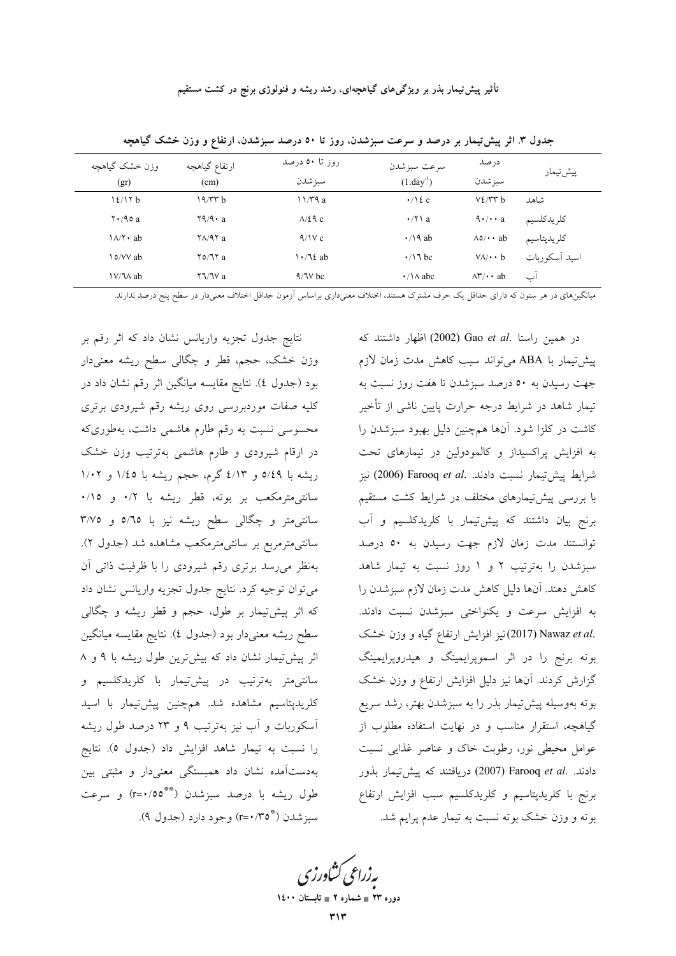| وزن خشک گیاهچه                   | ارتفاع گیاهچه                                         | روز تا ۵۰ درصد         | سرعت سبز شدن             | درصد                                                       | پیش تیمار     |
|----------------------------------|-------------------------------------------------------|------------------------|--------------------------|------------------------------------------------------------|---------------|
| (gr)                             | (cm)                                                  | سبز شدن                | $(1.day^{-1})$           | سبز شدن                                                    |               |
| 12/17 b                          | 19/rrb                                                | 11/T9a                 | $\cdot$ /\ { c           | V2/VYb                                                     | شاهد          |
| $\mathbf{Y} \cdot \mathbf{90}$ a | $\mathsf{Y} \mathsf{Q} / \mathsf{Q} \cdot \mathsf{a}$ | $\lambda$ /29 c        | $\cdot$ / $\uparrow$ \ a | $\mathbf{\hat{a}} \cdot / \mathbf{\cdot} \cdot \mathbf{a}$ | كلريدكلسيم    |
| $\lambda/\tau \cdot ab$          | $\sqrt{2}$                                            | 9/1Vc                  | $\cdot$ /\ 9 ab          | $\Lambda$ o/ $\cdot$ ab                                    | كلريدپتاسيم   |
| o/VV ab                          | $\frac{70}{11}a$                                      | $\cdot$ / $\lambda$ ab | $\cdot$ /\dec            | $V \wedge / \cdot \cdot b$                                 | اسيد أسكوربات |
| $V/M$ ab                         | $Y \Upsilon V$ a                                      | $4/1V$ bc              | $\cdot$ / $\land$ abc    | $\Lambda \mathbf{r}/\cdot \mathbf{a}$ ab                   | اب            |

جدول ۳. اثر پیش تیمار بر درصد و سرعت سبزشدن، روز تا ۵۰ درصد سبزشدن، ارتفاع و وزن خشک گیاهچه

میانگینهای در هر ستون که دارای حداقل یک حرف مشترک هستند، اختلاف معنیداری براساس آزمون حداقل اختلاف معنیدار در سطح پنج درصد ندارند.

نتایج جدول تجزیه واریانس نشان داد که اثر رقم بر وزن خشک، حجم، قطر و چگالی سطح ریشه معنیدار بود (جدول ٤). نتايج مقايسه ميانگين اثر رقم نشان داد در کلیه صفات موردبررسی روی ریشه رقم شیرودی برتری محسوسی نسبت به رقم طارم هاشمی داشت، بهطوریکه در ارقام شیرودی و طارم هاشمی بهترتیب وزن خشک ریشه با ۵/٤٩ و ٤/١٣ گرم، حجم ریشه با ١/٤٥ و ١/٠٢ سانتی،مترمکعب بر بوته، قطر ریشه با ۰/۲ و ۰/۱۰ سانتی متر و چگالی سطح ریشه نیز با ٥/٦٥ و ٣/٧٥ سانتی،مترمربع بر سانتی،مترمکعب مشاهده شد (جدول ۲). بهنظر میرسد برتری رقم شیرودی را با ظرفیت ذاتی آن میتوان توجیه کرد. نتایج جدول تجزیه واریانس نشان داد که اثر پیش:پمار بر طول، حجم و قطر ریشه و چگالی سطح ريشه معنىدار بود (جدول ٤). نتايج مقايسه ميانگين اثر پیش تیمار نشان داد که بیش ترین طول ریشه با ۹ و ۸ سانتی متر بهترتیب در پیش<sup>-</sup>تیمار با کلریدکلسیم و کلریدپتاسیم مشاهده شد. همچنین پیشتیمار با اسید آسکوربات و آب نیز بهترتیب ۹ و ۲۳ درصد طول ریشه را نسبت به تیمار شاهد افزایش داد (جدول ٥). نتایج بهدستآمده نشان داد همبستگی معنیدار و مثبتی بین طول ريشه با درصد سبزشدن (\*\*\*٢=٢) و سرعت سبز شدن (\*\*\*o) وجود دارد (جدول ۹).

در همین راستا .Gao et al (2002) اظهار داشتند که پیشتیمار با ABA می تواند سبب کاهش مدت زمان لازم جهت رسیدن به ٥٠ درصد سبزشدن تا هفت روز نسبت به تیمار شاهد در شرایط درجه حرارت پایین ناشی از تأخیر کاشت در کلزا شود. آنها همچنین دلیل بهبود سبزشدن را به افزایش پراکسیداز و کالمودولین در تیمارهای تحت شرايط پيشتيمار نسبت دادند. .Farooq et al (2006) نيز با بررسی پیش تیمارهای مختلف در شرایط کشت مستقیم برنج بیان داشتند که پیشتیمار با کلریدکلسیم و آب توانستند مدت زمان لازم جهت رسیدن به ۵۰ درصد سبزشدن را بهترتیب ۲ و ۱ روز نسبت به تیمار شاهد كاهش دهند. آنها دليل كاهش مدت زمان لازم سبزشدن را به افزایش سرعت و یکنواختی سبزشدن نسبت دادند. .(2017) Nawaz et al (2017) نيز افزايش ارتفاع گياه و وزن خشك بوته برنج را در اثر اسموپرایمینگ و هیدروپرایمینگ گزارش کردند. آنها نیز دلیل افزایش ارتفاع و وزن خشک بوته بهوسیله پیش تیمار بذر را به سبزشدن بهتر، رشد سریع گیاهچه، استقرار مناسب و در نهایت استفاده مطلوب از عوامل محیطی نور، رطوبت خاک و عناصر غذایی نسبت دادند. .Farooq et al (2007) دریافتند که پیش تیمار بذور برنج با کلریدپتاسیم و کلریدکلسیم سبب افزایش ارتفاع بوته و وزن خشک بوته نسبت به تیمار عدم پرایم شد.

یه زراعی کشاورزی

دوره ۲۳ = شماره ۲ = تابستان ۱٤۰۰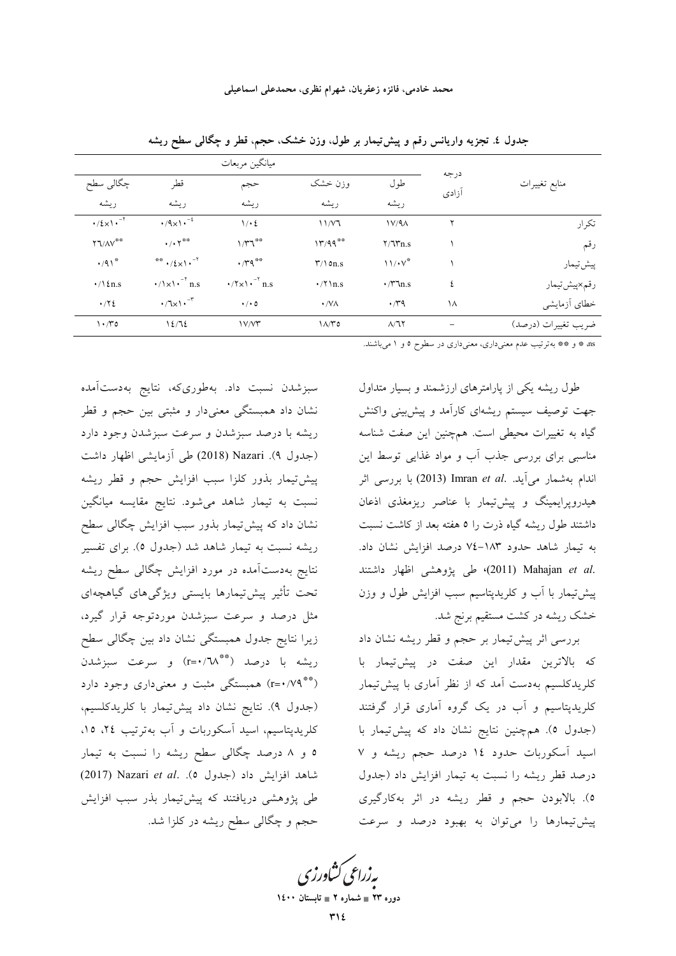|                                    |                                               | ميانگين مربعات                                                                            |                       |                      |               |                     |
|------------------------------------|-----------------------------------------------|-------------------------------------------------------------------------------------------|-----------------------|----------------------|---------------|---------------------|
| چگالی سطح                          | قطر                                           | حجم                                                                                       | وزن خشک               | طول                  | درجه<br>آزادى | منابع تغييرات       |
| ر بشه                              | ريشه                                          | ر بشه                                                                                     | ريشه                  | ريشه                 |               |                     |
| $\cdot$ /٤×١ $\cdot$ <sup>-٢</sup> | $\cdot$ /9x1 $\cdot^{-1}$                     | 1/2                                                                                       | 11/V7                 | 1V/9A                | ۲             | تكرار               |
| ۲٦/۸۷ <sup>**</sup>                | $\cdot/\cdot7$ <sup>**</sup>                  | $1/\mathsf{r} \mathsf{r}^*$                                                               | 17/99                 | $Y/\sqrt{n}$ .s      |               | رقم                 |
| $\cdot$ /91 <sup>*</sup>           | ** $\cdot$ / $\xi$ $\times$ \ $\cdot$ $^{-1}$ | $\cdot$ / $\uparrow$ $\uparrow$                                                           | $\Upsilon/\Omega n.s$ | $11/\cdot V^*$       |               | پیش تیمار           |
| $\cdot/\$ {n.s                     | $\cdot/\sqrt{x}$ , $\cdot$ n.s                | $\cdot$ / $\uparrow \times \uparrow \cdot \uparrow$ <sup>-<math>\uparrow</math></sup> n.s | $\cdot$ / $\ln s$     | $\cdot$ / $\tau$ n.s | ٤             | رقم×پیشتیمار        |
| $\cdot$ / $\cdot$ / $\epsilon$     | $\cdot$ /z $\cdot$ $\cdot$ $\cdot$            | $\cdot$ / $\cdot$ 0                                                                       | $\cdot$ /VA           | $\cdot$ / $4$        | ١٨            | خطاي أزمايشي        |
| $\cdot$ / $\circ$                  | 12/72                                         | $V/V^*$                                                                                   | $1\Lambda/T$ ٥        | $\Lambda/\Im$        |               | ضريب تغييرات (درصد) |

جدول ٤. تجزیه واریانس رقم و پیشتیمار بر طول، وزن خشک، حجم، قطر و چگالی سطح ریشه

ns \* و \*\* بهترتیب عدم معنیداری، معنیداری در سطوح ٥ و ١ می باشند.

سبزشدن نسبت داد. بهطوریکه، نتایج بهدستآمده نشان داد همبستگی معنیدار و مثبتی بین حجم و قطر ریشه با درصد سبزشدن و سرعت سبزشدن وجود دارد (جدول ۹). Nazari (2018) طی آزمایشی اظهار داشت پیشتیمار بذور کلزا سبب افزایش حجم و قطر ریشه نسبت به تیمار شاهد میشود. نتایج مقایسه میانگین نشان داد که پیش تیمار بذور سبب افزایش چگالی سطح ریشه نسبت به تیمار شاهد شد (جدول ٥). برای تفسیر نتایج بهدستآمده در مورد افزایش چگالی سطح ریشه تحت تأثير پيشiيمارها بايستى ويژگىهاى گياهچهاى مثل درصد و سرعت سبزشدن موردتوجه قرار گیرد، زیرا نتایج جدول همبستگی نشان داد بین چگالی سطح ريشه با درصد (\*\*\*٦٨/\*=r) و سرعت سبزشدن (\*\* ۲۹/۰۷۹) همبستگی مثبت و معنیداری وجود دارد (جدول ۹). نتايج نشان داد پيشتيمار با كلريدكلسيم، کلریدپتاسیم، اسید آسکوربات و آب بهترتیب ۲٤، ۱۵، ٥ و ٨ درصد چگالي سطح ريشه را نسبت به تيمار شاهد افزايش داد (جدول ٥). Nazari et al. طی پژوهشی دریافتند که پیش تیمار بذر سبب افزایش حجم و چگالی سطح ریشه در کلزا شد.

طول ریشه یکی از پارامترهای ارزشمند و بسیار متداول جهت توصیف سیستم ریشهای کارآمد و پیش بینی واکنش گیاه به تغییرات محیطی است. همچنین این صفت شناسه مناسبی برای بررسی جذب آب و مواد غذایی توسط این اندام بهشمار می آید. .Imran et al (2013) با بررسی اثر هیدروپرایمینگ و پیش تیمار با عناصر ریزمغذی اذعان داشتند طول ریشه گیاه ذرت را ٥ هفته بعد از کاشت نسبت به تیمار شاهد حدود ۱۸۳-۷۷ درصد افزایش نشان داد. .(2011) Mahajan et al (2011) طى پژوهشى اظهار داشتند پیش تیمار با آب و کلریدپتاسیم سبب افزایش طول و وزن خشک ریشه در کشت مستقیم برنج شد.

بررسی اثر پیش تیمار بر حجم و قطر ریشه نشان داد که بالاترین مقدار این صفت در پیشتیمار با کلریدکلسیم بهدست آمد که از نظر آماری با پیشتیمار کلریدپتاسیم و آب در یک گروه آماری قرار گرفتند (جدول ٥). همچنین نتایج نشان داد که پیشتیمار با اسید آسکوربات حدود ١٤ درصد حجم ریشه و ٧ درصد قطر ریشه را نسبت به تیمار افزایش داد (جدول ٥). بالابودن حجم و قطر ریشه در اثر بهکارگیری پیشتیمارها را میتوان به بهبود درصد و سرعت

بەزراعى كشاورزى

دوره ۲۳ = شماره ۲ = تابستان ۱٤۰۰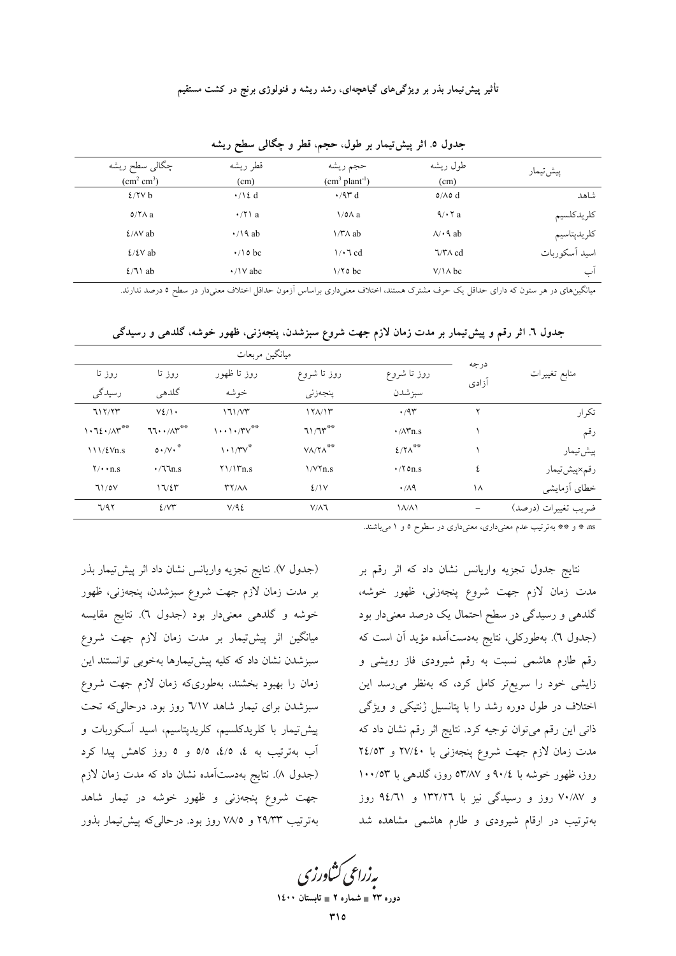| چگالبی سطح ریشه<br>$\text{cm}^2 \text{ cm}^3$ ) | قطر ريشه<br>(cm)       | حجم ريشه<br>$(cm3 plant-1)$ | طول ريشه<br>(cm) | پیش تیمار     |
|-------------------------------------------------|------------------------|-----------------------------|------------------|---------------|
| 2/7Vb                                           | $\cdot / \lambda$ d    | $\cdot$ /9۳ d               | $0/\Lambda$ o d  | شاهد          |
| $0/\Upsilon\Lambda$ a                           | $\cdot$ / $\prime$ a   | $\sqrt{0}$ a                | 9/17a            | كلريدكلسيم    |
| $\frac{\Sigma}{N}$ ab                           | $\cdot$ /\ 9 ab        | $1/T\Lambda$ ab             | $\lambda$ + 9 ab | كلريدپتاسيم   |
| $\frac{\Sigma}{\Sigma}$ ab                      | $\cdot$ /10 bc         | $\sqrt{3}$ d                | $7/T \wedge cd$  | اسيد أسكوربات |
| $\frac{2}{1}$ ab                                | $\cdot$ / \ $\vee$ abc | $1/70$ bc                   | $V/\lambda$ bc   | 'ب            |

جدول ٥. اثر پیشتیمار بر طول، حجم، قطر و چگالی سطح ریشه

میانگینهای در هر ستون که دارای حداقل یک حرف مشترک هستند، اختلاف معنیداری براساس آزمون حداقل اختلاف معنیدار در سطح ٥ درصد ندارند.

|                                 |                    | ميانگين مربعات                              |                                |                         |               |                     |
|---------------------------------|--------------------|---------------------------------------------|--------------------------------|-------------------------|---------------|---------------------|
| روز تا                          | روز تا             | روز تا ظهور                                 | روز تا شروع                    | روز تا شروع             | درجه<br>آزادى | منابع تغييرات       |
| رسیدگی                          | گلدهي              | خوشه                                        | پنجەزنى                        | سبز شدن                 |               |                     |
| 717/77                          | $V\S$ / $\cdot$    | 171/VT                                      | 171/17                         | .47                     |               | تكرار               |
| 1.72.71                         | $77.1/\Lambda$ r** | $1 \cdot \cdot 1 \cdot / TV$                | $71/7$ $*$                     | $\cdot$ / $\wedge$ rn.s |               | رقم                 |
| 111/fVn.s                       | $0.7V \cdot$       | $1.1/TV^*$                                  | $V\Lambda/Y\Lambda^{\ast\ast}$ | $2/7\Lambda^{**}$       |               | پیش تیمار           |
| $\mathbf{Y}/\cdot\mathbf{n}$ .s | $\cdot$ /77 $n.s$  | Y1/17n.s                                    | $1/V\tau_{n.s}$                | $\cdot$ /۲ on.s         | ٤             | رقم×پیشتیمار        |
| 71/0V                           | 17/27              | $\mathsf{r}\mathsf{r}/\mathsf{A}\mathsf{A}$ | 2/1V                           | $\cdot$ /19             | ۱۸            | خطاي أزمايشي        |
| 7/97                            | 2/VT               | V/9E                                        | $V/\Lambda$ ٦                  | $\Lambda/\Lambda$       |               | ضريب تغييرات (درصد) |

جدول ٦. اثر رقم و پیش تیمار بر مدت زمان لازم جهت شروع سبزشدن. پنجهزنی، ظهور خوشه، گلدهی و رسیدگی

as \* و \*\* بهترتیب عدم معنیداری، معنیداری در سطوح ٥ و ١ میباشند.

(جدول ٧). نتايج تجزيه واريانس نشان داد اثر پيشتيمار بذر بر مدت زمان لازم جهت شروع سبزشدن، پنجهزنی، ظهور خوشه و گلدهی معنیدار بود (جدول ٦). نتایج مقایسه میانگین اثر پیش تیمار بر مدت زمان لازم جهت شروع سبزشدن نشان داد كه كليه پيشتيمارها بهخوبي توانستند اين زمان را بهبود بخشند، بهطوریکه زمان لازم جهت شروع سبزشدن برای تیمار شاهد ٦/١٧ روز بود. درحالیکه تحت پیش تیمار با کلریدکلسیم، کلریدپتاسیم، اسید آسکوربات و آب بهترتیب به ٤، ٤/٥، ٥/٥ و ٥ روز کاهش پیدا کرد (جدول ۸). نتایج بهدستآمده نشان داد که مدت زمان لازم جهت شروع پنجهزنی و ظهور خوشه در تیمار شاهد بهترتيب ٢٩/٣٣ و ٧٨/٥ روز بود. درحالي كه پيش تيمار بذور نتایج جدول تجزیه واریانس نشان داد که اثر رقم بر مدت زمان لازم جهت شروع پنجهزنی، ظهور خوشه، گلدهی و رسیدگی در سطح احتمال یک درصد معنیدار بود (جدول ٦). بەطوركلى، نتايج بەدستآمدە مؤيد أن است كە رقم طارم هاشمی نسبت به رقم شیرودی فاز رویشی و زایشی خود را سریعتر کامل کرد، که بهنظر میرسد این اختلاف در طول دوره رشد را با پتانسیل ژنتیکی و ویژگی ذاتی این رقم میتوان توجیه کرد. نتایج اثر رقم نشان داد که مدت زمان لازم جهت شروع پنجهزنی با ۲۷/٤٠ و ۲٤/٥٣ روز، ظهور خوشه با ۹۰/٤ و ۵۳/۸۷ روز، گلدهی با ۱۰۰/۵۳ و ۷۰/۸۷ روز و رسیدگی نیز با ۱۳۲/۲۲ و ۹٤/٦۱ روز بهترتیب در ارقام شیرودی و طارم هاشمی مشاهده شد

یه زراعی کشاورزی

دوره ۲۳ ∎ شماره ۲ ∎ تابہ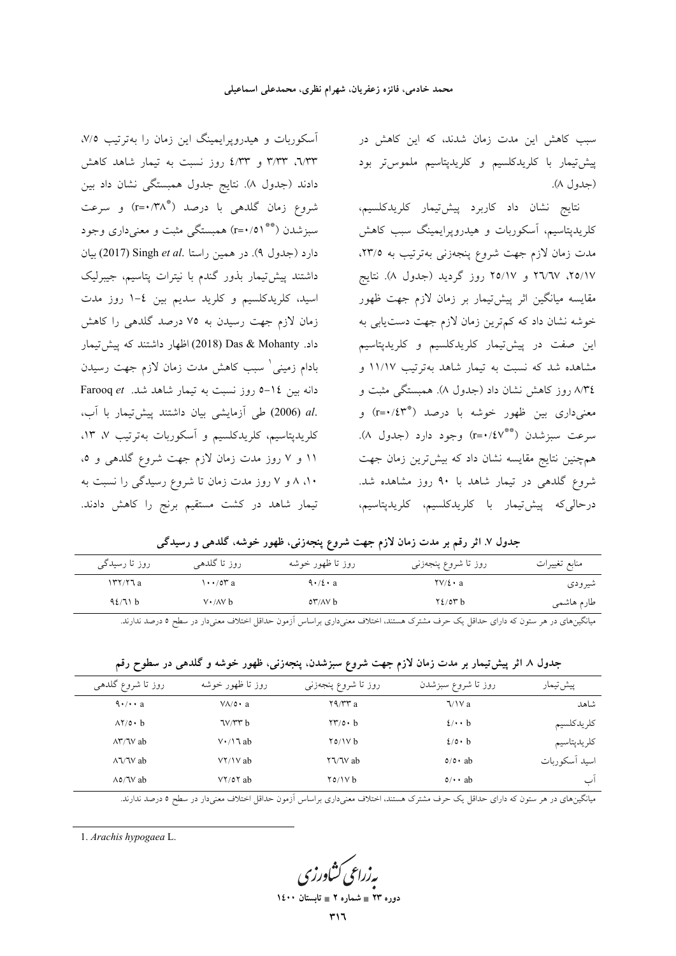سبب کاهش این مدت زمان شدند، که این کاهش در پیش تیمار با کلریدکلسیم و کلریدپتاسیم ملموس تر بود (جدول ۸).

نتايج نشان داد كاربرد پيشتيمار كلريدكلسيم، کلریدپتاسیم، أسکوربات و هیدروپرایمینگ سبب کاهش مدت زمان لازم جهت شروع پنجهزنی بهترتیب به ٢٣/٥. ۲۵/۱۷، ۲٦/٦۷ و ۲۵/۱۷ روز گردید (جدول ۸). نتایج مقایسه میانگین اثر پیشتیمار بر زمان لازم جهت ظهور خوشه نشان داد که کمترین زمان لازم جهت دستیابی به بن صفت در پیشتیمار کلریدکلسیم و کلریدپتاسیم  $\overline{\phantom{a}}$ مشاهده شد که نسبت به تیمار شاهد بهترتیب ۱۱/۱۷ و ۸/۳٤ روز کاهش نشان داد (جدول ۸). همبستگ<sub>ی</sub> مثبت و معنیداری بین ظهور خوشه با درصد (\*\*r=۰/٤۳) و سرعت سبزشدن (\*\*/٤٧\*=r) وجود دارد (جدول ٨). همچنین نتایج مقایسه نشان داد که بیشترین زمان جهت شروع گلدهی در تیمار شاهد با ۹۰ روز مشاهده شد. درحالى،كە پيش:يمار با كلريدكلسيم، كلريدپتاسيم،

آسکوربات و هیدروپرایمینگ این زمان را بهترتیب ۷/۵. ٦/٣٣، ٣/٣٣ و ٤/٣٣ روز نسبت به تيمار شاهد كاهش دادند (جدول ۸). نتایج جدول همبستگی نشان داد بین شروع زمان گلدهی با درصد (\*r=۰/۳۸) و سرعت سبزشدن (\*\* \ ٥/\*=r) همبستگی مثبت و معنیداری وجود دارد (جدول ۹). در همین راستا Singh *et al.* 'بیان داشتند پیشتیمار بذور گندم با نیترات پتاسیم، جیبرلیک اسید، کلریدکلسیم و کلرید سدیم بین ٤–١ روز مدت زمان لازم جهت رسیدن به ۷۵ درصد گلدهی را کاهش داد. Das & Mohanty اظهار داشتند که پیش تیمار بادام زمینی<sup>٬</sup> سبب کاهش مدت زمان لازم جهت رسیدن دانه بین ١٤-٥ روز نسبت به تیمار شاهد شد. Farooq et .al (2006) طی آزمایشی بیان داشتند پیشتیمار با آب، کلریدپتاسیم، کلریدکلسیم و أسکوربات بهترتیب ۷، ۱۳، ۱۱ و ۷ روز مدت زمان لازم جهت شروع گلدهی و ۵، ۸۰، ۸ و ۷ روز مدت زمان تا شروع رسیدگی را نسبت به تیمار شاهد در کشت مستقیم برنج را کاهش دادند.

جدول ۷. اثر رقم بر مدت زمان لازم جهت شروع پنجەزنی، ظهور خوشه، گلدهی و رسیدگ*ی* 

| منابع تغييرات | روز تا شروع پنجەزنى | روز تا ظهور خوشه        | روز تا گلدهي             | روز تا رسی <i>د</i> گی |
|---------------|---------------------|-------------------------|--------------------------|------------------------|
| شيرودي        | $\frac{Y}{2}$ a     | $9 \cdot 12 \cdot a$    | $\cdots$ /0 $^{\circ}$ a | $\frac{147}{72a}$      |
| طارم هاشمي    | $Y\xi$ /orb         | $\delta r/\Delta V$ $b$ | $V \cdot / \Delta V$ b   | 42/71 b                |
|               |                     |                         |                          |                        |

بیانگینهای در هر ستون که دارای حداقل یک حرف مشترک هستند، اختلاف معنیداری براساس أزمون حداقل اختلاف معنیدار در سطح ٥ درصد ندارند.

|  |  |  | جدول ۸ اثر پیش تیمار بر مدت زمان لازم جهت شروع سبزشدن، پنجهزنی، ظهور خوشه و گلدهی در سطوح رقم |  |  |  |  |
|--|--|--|-----------------------------------------------------------------------------------------------|--|--|--|--|
|--|--|--|-----------------------------------------------------------------------------------------------|--|--|--|--|

| پیشتییمار     | روز تا شروع سبزشدن   | روز تا شروع پنجەزنى                               | روز تا ظهور خوشه        | روز تا شروع گلدهی                                                                                                                                                                                                                                                                                                               |
|---------------|----------------------|---------------------------------------------------|-------------------------|---------------------------------------------------------------------------------------------------------------------------------------------------------------------------------------------------------------------------------------------------------------------------------------------------------------------------------|
| شاهد          | $\sqrt{V}a$          | $\mathsf{Y} \mathsf{A} / \mathsf{Y} \mathsf{Y}$ a | $V \Lambda / o \cdot a$ | $\mathcal{A} \cdot / \cdot \cdot$ a                                                                                                                                                                                                                                                                                             |
| كلريدكلسيم    | $2/\cdot \cdot b$    | $\Upsilon\Upsilon/\circ \cdot b$                  | $\frac{1}{\sqrt{2}}$    | $\Lambda$ Y/0 $\cdot$ b                                                                                                                                                                                                                                                                                                         |
| كلريدپتاسيم   | $2$ /0 · b           | $Y_0/Y_b$                                         | $V \cdot / \lambda$ ab  | $\Lambda$ $\gamma$ $\gamma$ ab                                                                                                                                                                                                                                                                                                  |
| اسيد أسكوربات | $0/O \cdot ab$       | $\frac{1}{2}$                                     | $V\Upsilon/V$ ab        | $\lambda$ $\sqrt{}$ $\sqrt{}$ $\sqrt{}$ $\sqrt{}$ $\sqrt{}$ $\sqrt{}$ $\sqrt{}$ $\sqrt{}$ $\sqrt{}$ $\sqrt{}$ $\sqrt{}$ $\sqrt{}$ $\sqrt{}$ $\sqrt{}$ $\sqrt{}$ $\sqrt{}$ $\sqrt{}$ $\sqrt{}$ $\sqrt{}$ $\sqrt{}$ $\sqrt{}$ $\sqrt{}$ $\sqrt{}$ $\sqrt{}$ $\sqrt{}$ $\sqrt{}$ $\sqrt{}$ $\sqrt{}$ $\sqrt{}$ $\sqrt{}$ $\sqrt{}$ |
| ب             | $\circ$ / $\cdot$ ab | $\gamma$ $\alpha$ / $\gamma$ b                    | $VY/OY$ ab              | $\Lambda$ o/ $\mathcal$ ab                                                                                                                                                                                                                                                                                                      |

بیانگینهای در هر ستون که دارای حداقل یک حرف مشترک هستند، اختلاف معنیداری براساس أزمون حداقل اختلاف معنیدار در سطح ٥ درصد ندارند.

1. *Arachis hypogaea* L.

به زراعی کشاورزی

**1400  2 - 23 -**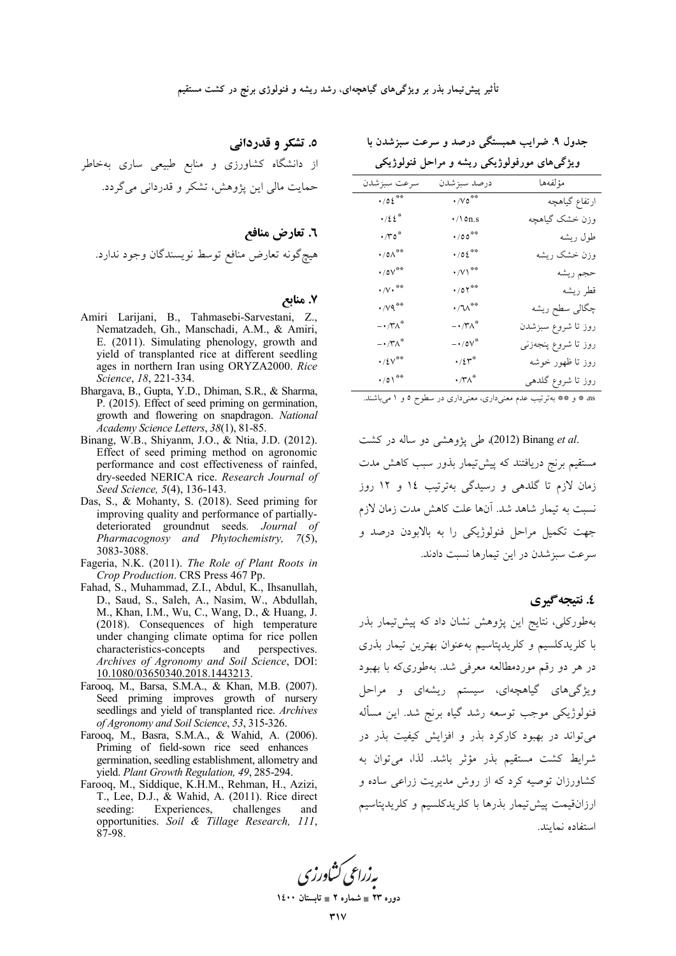٥. تشکر و قدردانی

از دانشگاه کشاورزی و منابع طبیعی ساری بهخاطر حمایت مالی این پژوهش، تشکر و قدردانی می گردد.

### ۷. منابع

- Amiri Larijani, B., Tahmasebi-Sarvestani, Z., Nematzadeh, Gh., Manschadi, A.M., & Amiri, E. (2011). Simulating phenology, growth and yield of transplanted rice at different seedling ages in northern Iran using ORYZA2000. Rice Science, 18, 221-334.
- Bhargava, B., Gupta, Y.D., Dhiman, S.R., & Sharma, P. (2015). Effect of seed priming on germination, growth and flowering on snapdragon. National Academy Science Letters, 38(1), 81-85.
- Binang, W.B., Shiyanm, J.O., & Ntia, J.D. (2012). Effect of seed priming method on agronomic performance and cost effectiveness of rainfed, dry-seeded NERICA rice. Research Journal of Seed Science, 5(4), 136-143.
- Das, S., & Mohanty, S. (2018). Seed priming for improving quality and performance of partiallydeteriorated groundnut seeds. Journal of Pharmacognosy and Phytochemistry, 7(5), 3083-3088.
- Fageria, N.K. (2011). The Role of Plant Roots in Crop Production. CRS Press 467 Pp.
- Fahad, S., Muhammad, Z.I., Abdul, K., Ihsanullah, D., Saud, S., Saleh, A., Nasim, W., Abdullah, M., Khan, I.M., Wu, C., Wang, D., & Huang, J. (2018). Consequences of high temperature under changing climate optima for rice pollen characteristics-concepts and perspectives. Archives of Agronomy and Soil Science, DOI: 10.1080/03650340.2018.1443213.
- Farooq, M., Barsa, S.M.A., & Khan, M.B. (2007). Seed priming improves growth of nursery seedlings and yield of transplanted rice. Archives of Agronomy and Soil Science, 53, 315-326.
- Farooq, M., Basra, S.M.A., & Wahid, A. (2006). Priming of field-sown rice seed enhances germination, seedling establishment, allometry and yield. Plant Growth Regulation, 49, 285-294.
- Farooq, M., Siddique, K.H.M., Rehman, H., Azizi, T., Lee, D.J., & Wahid, A. (2011). Rice direct Experiences, challenges seeding: and opportunities. Soil & Tillage Research, 111, 87-98.

جدول ۹. ضرایب همبستگی درصد و سرعت سبزشدن با

ویژگیهای مورفولوژیکی ریشه و مراحل فنولوژیکی

| سرعت سبزشدن                          | درصد سبزشدن                     | مؤلفهها             |
|--------------------------------------|---------------------------------|---------------------|
| $\cdot$ /02 $\degree$                | $\cdot$ /V 0 $^{\ast\ast}$      | ارتفاع گیاهچه       |
| $\cdot$ /٤٤ $\degree$                | $\cdot$ /\ on.s                 | وزن خشک گیاهچه      |
| $\cdot$ / $\mathcal{C}^*$            | $\cdot$ /00 <sup>**</sup>       | طول ريشه            |
| $\cdot$ / 0 $\wedge$ $\ ^{\ast\ast}$ | $\cdot$ /02 **                  | وزن خشک ریشه        |
| $\cdot$ / ov $^{\ast\ast}$           | $\cdot$ /V \**                  | حجم ريشه            |
| $\cdot/\vee\cdot$ **                 | $\cdot$ /07**                   | قطر ريشه            |
| $\cdot$ /vq $\overset{\ast}{\circ}$  | • ⁄ ™**                         | چگالی سطح ریشه      |
| $- \cdot / \mathsf{r} \wedge^*$      | $- \cdot / \mathsf{Y} \wedge^*$ | روز تا شروع سبزشدن  |
| $- \cdot / \mathsf{Y} \wedge^\circ$  | $ \cdot$ / 0 $V^*$              | روز تا شروع پنجەزنى |
| $\cdot$ /٤ $v^{\ast\ast}$            | $\cdot/ \xi \Upsilon^*$         | روز تا ظهور خوشه    |
| $\cdot$ /0) <sup>**</sup>            | $\cdot$ /۳ $\wedge^*$           | روز تا شروع گلدهی   |

ns \* و \*\* بهترتیب عدم معنیداری، معنیداری در سطوح ٥ و ١ میباشند.

.Binang et al) طی پژوهشی دو ساله در کشت مستقیم برنج دریافتند که پیش تیمار بذور سبب کاهش مدت زمان لازم تا گلده<sub>ی</sub> و رسیدگی بهترتیب ۱۶ و ۱۲ روز نسبت به تیمار شاهد شد. آنها علت کاهش مدت زمان لازم ۔<br>جهت تکمیل مراحل فنولوژیکی را به بالایودن درصد و سرعت سبزشدن در این تیمارها نسبت دادند.

٤. نتيجه گيري

بهطورکلی، نتایج این پژوهش نشان داد که پیشتیمار بذر با کلریدکلسیم و کلریدپتاسیم بهعنوان بهترین تیمار بذری در هر دو رقم موردمطالعه معرفی شد. بهطوری که با بهبود ویژگی های گیاهچهای، سیستم ریشهای و مراحل فنولوژيكي موجب توسعه رشد گياه برنج شد. اين مسأله می تواند در بهبود کارکرد بذر و افزایش کیفیت بذر در شرايط كشت مستقيم بذر مؤثر باشد. لذا، مى توان به کشاورزان توصیه کرد که از روش مدیریت زراعی ساده و ارزانقیمت پیش تیمار بذرها با کلریدکلسیم و کلریدیتاسیم استفاده نمايند.

دوره ۲۳ ∎ شماره ۲ ∎ تابستان ۱٤۰۰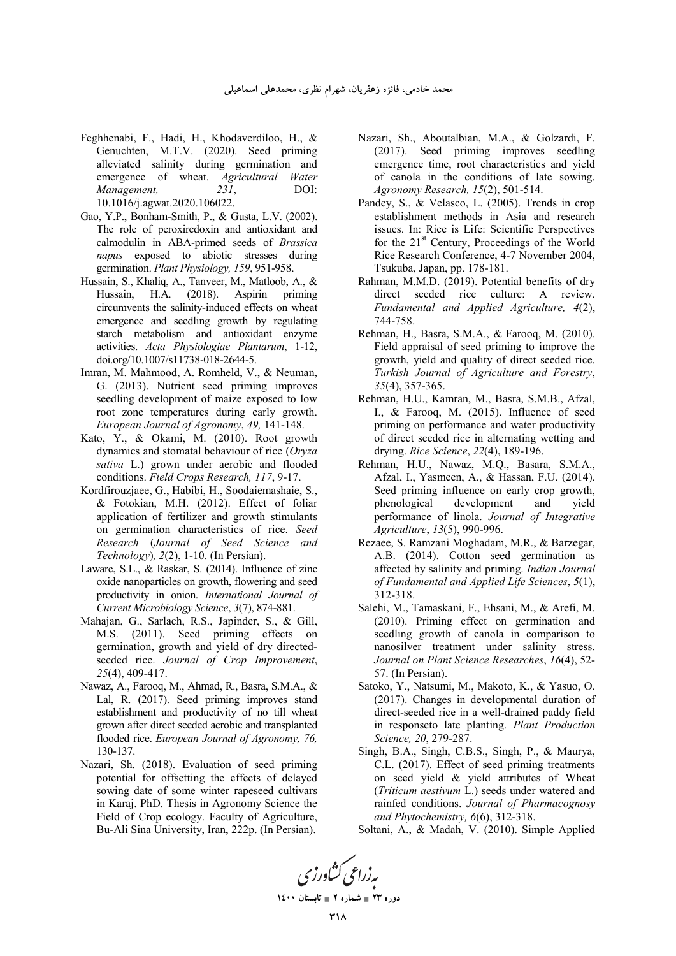- Feghhenabi, F., Hadi, H., Khodaverdiloo, H., & Genuchten, M.T.V. (2020). Seed priming alleviated salinity during germination and emergence of wheat. *Agricultural Water Management, 231*, DOI: 10.1016/j.agwat.2020.106022.
- Gao, Y.P., Bonham-Smith, P., & Gusta, L.V. (2002). The role of peroxiredoxin and antioxidant and calmodulin in ABA-primed seeds of *Brassica napus* exposed to abiotic stresses during germination. *Plant Physiology, 159*, 951-958.
- Hussain, S., Khaliq, A., Tanveer, M., Matloob, A., & Hussain, H.A. (2018). Aspirin priming circumvents the salinity‑induced effects on wheat emergence and seedling growth by regulating starch metabolism and antioxidant enzyme activities. *Acta Physiologiae Plantarum*, 1-12, doi.org/10.1007/s11738-018-2644-5.
- Imran, M. Mahmood, A. Romheld, V., & Neuman, G. (2013). Nutrient seed priming improves seedling development of maize exposed to low root zone temperatures during early growth. *European Journal of Agronomy*, *49,* 141-148.
- Kato, Y., & Okami, M. (2010). Root growth dynamics and stomatal behaviour of rice (*Oryza sativa* L.) grown under aerobic and flooded conditions. *Field Crops Research, 117*, 9-17.
- Kordfirouzjaee, G., Habibi, H., Soodaiemashaie, S., & Fotokian, M.H. (2012). Effect of foliar application of fertilizer and growth stimulants on germination characteristics of rice. *Seed Research* (*Journal of Seed Science and Technology*)*, 2*(2), 1-10. (In Persian).
- Laware, S.L., & Raskar, S. (2014). Influence of zinc oxide nanoparticles on growth, flowering and seed productivity in onion. *International Journal of Current Microbiology Science*, *3*(7), 874-881.
- Mahajan, G., Sarlach, R.S., Japinder, S., & Gill, M.S. (2011). Seed priming effects on germination, growth and yield of dry directedseeded rice. *Journal of Crop Improvement*, *25*(4), 409-417.
- Nawaz, A., Farooq, M., Ahmad, R., Basra, S.M.A., & Lal, R. (2017). Seed priming improves stand establishment and productivity of no till wheat grown after direct seeded aerobic and transplanted flooded rice. *European Journal of Agronomy, 76,*  130-137.
- Nazari, Sh. (2018). Evaluation of seed priming potential for offsetting the effects of delayed sowing date of some winter rapeseed cultivars in Karaj. PhD. Thesis in Agronomy Science the Field of Crop ecology. Faculty of Agriculture, Bu-Ali Sina University, Iran, 222p. (In Persian).
- Nazari, Sh., Aboutalbian, M.A., & Golzardi, F. (2017). Seed priming improves seedling emergence time, root characteristics and yield of canola in the conditions of late sowing. *Agronomy Research, 15*(2), 501-514.
- Pandey, S., & Velasco, L. (2005). Trends in crop establishment methods in Asia and research issues. In: Rice is Life: Scientific Perspectives for the 21st Century, Proceedings of the World Rice Research Conference, 4-7 November 2004, Tsukuba, Japan, pp. 178-181.
- Rahman, M.M.D. (2019). Potential benefits of dry direct seeded rice culture: A review. *Fundamental and Applied Agriculture, 4*(2), 744-758.
- Rehman, H., Basra, S.M.A., & Farooq, M. (2010). Field appraisal of seed priming to improve the growth, yield and quality of direct seeded rice. *Turkish Journal of Agriculture and Forestry*, *35*(4), 357-365.
- Rehman, H.U., Kamran, M., Basra, S.M.B., Afzal, I., & Farooq, M. (2015). Influence of seed priming on performance and water productivity of direct seeded rice in alternating wetting and drying. *Rice Science*, *22*(4), 189-196.
- Rehman, H.U., Nawaz, M.Q., Basara, S.M.A., Afzal, I., Yasmeen, A., & Hassan, F.U. (2014). Seed priming influence on early crop growth, phenological development and yield performance of linola. *Journal of Integrative Agriculture*, *13*(5), 990-996.
- Rezaee, S. Ramzani Moghadam, M.R., & Barzegar, A.B. (2014). Cotton seed germination as affected by salinity and priming. *Indian Journal of Fundamental and Applied Life Sciences*, *5*(1), 312-318.
- Salehi, M., Tamaskani, F., Ehsani, M., & Arefi, M. (2010). Priming effect on germination and seedling growth of canola in comparison to nanosilver treatment under salinity stress. *Journal on Plant Science Researches*, *16*(4), 52- 57. (In Persian).
- Satoko, Y., Natsumi, M., Makoto, K., & Yasuo, O. (2017). Changes in developmental duration of direct-seeded rice in a well-drained paddy field in responseto late planting. *Plant Production Science, 20*, 279-287.
- Singh, B.A., Singh, C.B.S., Singh, P., & Maurya, C.L. (2017). Effect of seed priming treatments on seed yield & yield attributes of Wheat (*Triticum aestivum* L.) seeds under watered and rainfed conditions. *Journal of Pharmacognosy and Phytochemistry, 6*(6), 312-318.
- Soltani, A., & Madah, V. (2010). Simple Applied

به زراعی کشاورزی

**1400  2 - 23 -**